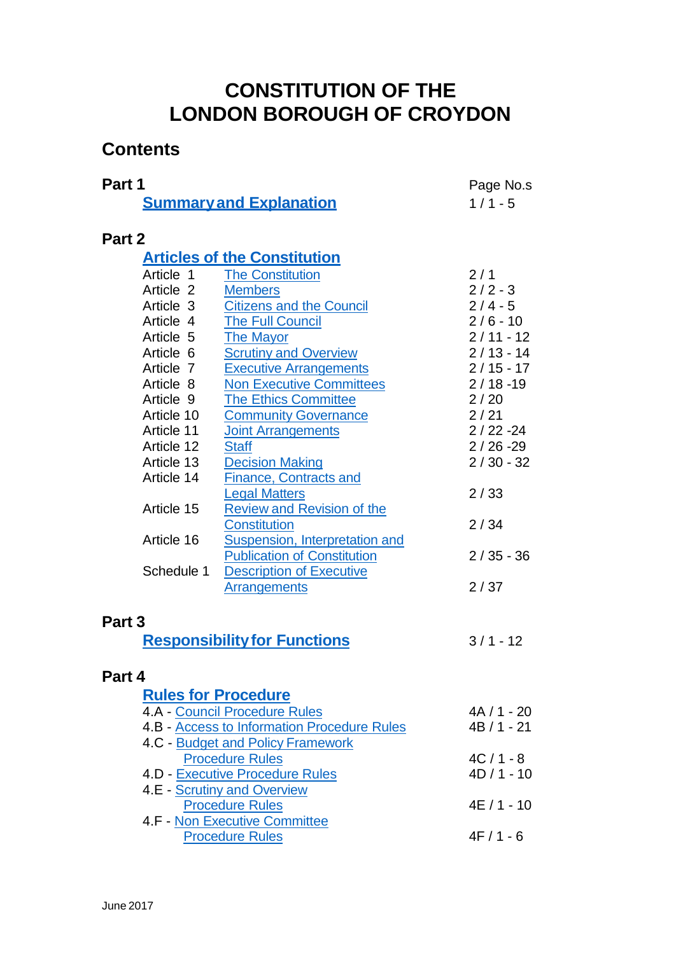## **CONSTITUTION OF THE LONDON BOROUGH OF CROYDON**

## **Contents**

| Part 1                                                    |                                     | Page No.s   |
|-----------------------------------------------------------|-------------------------------------|-------------|
|                                                           | <b>Summary and Explanation</b>      | $1/1 - 5$   |
|                                                           |                                     |             |
| Part 2                                                    |                                     |             |
|                                                           | <b>Articles of the Constitution</b> |             |
| Article 1                                                 | <b>The Constitution</b>             | 2/1         |
| Article 2                                                 | <b>Members</b>                      | $2/2 - 3$   |
| Article 3                                                 | <b>Citizens and the Council</b>     | $2/4 - 5$   |
| Article 4                                                 | <b>The Full Council</b>             | $2/6 - 10$  |
| Article 5                                                 | <b>The Mayor</b>                    | $2/11 - 12$ |
| Article 6                                                 | <b>Scrutiny and Overview</b>        | $2/13 - 14$ |
| Article 7                                                 | <b>Executive Arrangements</b>       | $2/15 - 17$ |
| Article 8                                                 | <b>Non Executive Committees</b>     | $2/18 - 19$ |
| Article 9                                                 | <b>The Ethics Committee</b>         | 2/20        |
| Article 10                                                | <b>Community Governance</b>         | 2/21        |
| Article 11                                                | <b>Joint Arrangements</b>           | $2/22 - 24$ |
| Article 12                                                | <b>Staff</b>                        | $2/26 - 29$ |
| Article 13                                                | <b>Decision Making</b>              | $2/30 - 32$ |
| Article 14                                                | <b>Finance, Contracts and</b>       |             |
|                                                           | <b>Legal Matters</b>                | 2/33        |
| Article 15                                                | <b>Review and Revision of the</b>   |             |
|                                                           | <b>Constitution</b>                 | 2/34        |
| Article 16                                                | Suspension, Interpretation and      |             |
|                                                           | <b>Publication of Constitution</b>  | $2/35 - 36$ |
| Schedule 1                                                | <b>Description of Executive</b>     |             |
|                                                           | Arrangements                        | 2/37        |
|                                                           |                                     |             |
| Part 3                                                    |                                     |             |
|                                                           | <b>Responsibility for Functions</b> | $3/1 - 12$  |
|                                                           |                                     |             |
| Part 4                                                    |                                     |             |
|                                                           | <b>Rules for Procedure</b>          |             |
| <b>4.A - Council Procedure Rules</b>                      |                                     | $4A/1 - 20$ |
| 4.B - Access to Information Procedure Rules               |                                     | $4B/1 - 21$ |
| 4.C - Budget and Policy Framework                         |                                     |             |
| <b>Procedure Rules</b><br>4.D - Executive Procedure Rules |                                     | $4C/1 - 8$  |
|                                                           | $4D/1 - 10$                         |             |
| 4.E - Scrutiny and Overview                               |                                     |             |
| <b>Procedure Rules</b>                                    | $4E/1 - 10$                         |             |
| 4.F - Non Executive Committee                             | $4F/1 - 6$                          |             |
| <b>Procedure Rules</b>                                    |                                     |             |